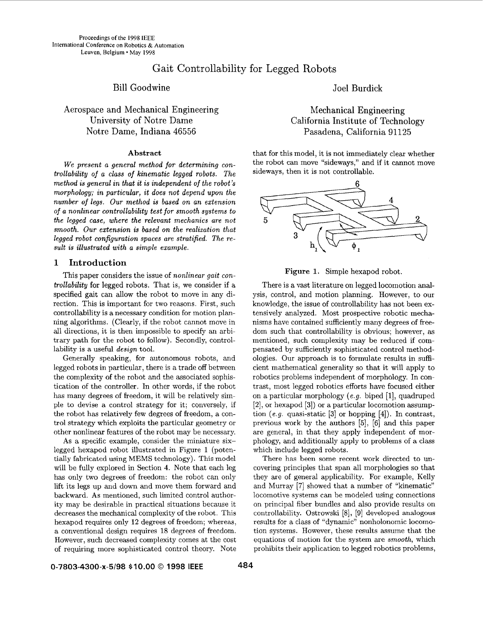# Gait Controllability for Legged Robots

## Bill Goodwine

## Aerospace and Mechanical Engineering University of Notre Dame Notre Dame, Indiana 46556

## **Abstract**

*We present a general method* for *determining controllability of a class of kinematic legged robots. The method is general in that it is independent* of *the robot's morphology; in particular, it does not depend upon the number of legs. Our method is based on an extension*  of *a nonlinear controllability test* for *smooth systems to the legged case, where the relevant mechanics are not smooth. Our extension is based on the realization that legged robot configuration spaces are stratified. The result is illustrated with a simple example.* 

## **1 Introduction**

This paper considers the issue of *nonlinear gait controllability* for legged robots. That is, we consider if a specified gait can allow the robot to move in any direction. This is important for two reasons. First, such controllability is a necessary condition for motion planning algorithms. (Clearly, if the robot cannot move in all directions, it is then impossible to specify an arbitrary path for the robot to follow). Secondly, controllability is a useful *design* tool.

Generally speaking, for autonomous robots, and legged robots in particular, there is a trade off between the complexity of the robot and the associated sophistication of the controller. In other words, if the robot has many degrees of freedom, it will be relatively simple to devise a control strategy for it; conversely, if the robot has relatively few degrees of freedom, a control strategy which exploits the particular geometry or other nonlinear features of the robot may be necessary.

As a specific example, consider the miniature sixlegged hexapod robot illustrated in [Figure 1](#page-4-0) (potentially fabricated using MEMS technology). This model will be fully explored in Section **4.** Note that each leg has only two degrees of freedom: the robot can only lift its legs up and down and move them forward and backward. As mentioned, such limited control authority may be desirable in practical situations because it decreases the mechanical complexity of the robot. This hexapod requires only 12 degrees of freedom; whereas, a conventional design requires 18 degrees of freedom. However, such decreased complexity comes at the cost of requiring more sophisticated control theory. Note

Joel Burdick

Mechanical Engineering California Institute of Technology Pasadena, California 91125

that for this model, it is not immediately clear whether the robot can move "sideways," and if it cannot move sideways, then it is not controllable.



**[Figure 1.](#page-4-0)** Simple hexapod robot.

There is a vast literature on legged locomotion analysis, control, and motion planning. However, to our knowledge, the issue of controllability has not been extensively analyzed. Most prospective robotic mechanisms have contained sufficiently many degrees of freedom such that controllability is obvious; however, as mentioned, such complexity may be reduced if compensated by sufficiently sophisticated control methodologies. Our approach is to formulate results in sufficient mathematical generality so that it will apply to robotics problems independent of morphology. In contrast, most legged robotics efforts have focused either on a particular morphology *(e.g. biped [1]*, quadruped [2], or hexapod **[3])** or a particular locomotion assumption *(e.g.* quasi-static **[3]** or hopping **[4]).** In contrast, previous work by the authors **[5],** *[6]* and this paper are general, in that they apply independent of morphology, and additionally apply to problems of a class which include legged robots.

There has been some recent work directed to uncovering principles that span all morphologies so that they are of general applicability. For example, Kelly and Murray [7] showed that a number of "kinematic" locomotive systems can be modeled using connections on principal fiber bundles and also provide results on controllability. Ostrowski [SI, **[9]** developed analogous results for a class of "dynamic" nonholonomic locomotion systems. However, these results assume that the equations of motion for the system are *smooth,* which prohibits their application to legged robotics problems,

**0-7803-4300-~-5/98 \$10.00** *0* **<sup>1998</sup>IEEE <sup>484</sup>**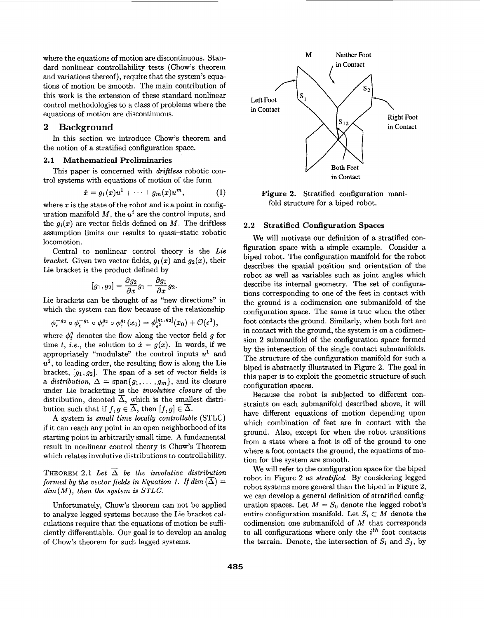where the equations of motion are discontinuous. Standard nonlinear controllability tests (Chow's theorem and variations thereof), require that the system's equations of motion be smooth. The main contribution of this work is the extension of these standard nonlinear control methodologies to a class of problems where the equations of motion are discontinuous.

## **2 Background**

the notion of a stratified configuration space. In this section we introduce Chow's theorem and

## **2.1 Mathematical Preliminaries**

trol systems with equations of motion of the form This paper is concerned with *driftless* robotic con-

$$
\dot{x}=g_1(x)u^1+\cdots+g_m(x)u^m, \qquad (1)
$$

where  $x$  is the state of the robot and is a point in configuration manifold *M,* the *ui* are the control inputs, and the  $g_i(x)$  are vector fields defined on *M*. The driftless assumption limits our results to quasi-static: robotic locomotion.

Central to nonlinear control theory is the *Lie bracket.* Given two vector fields,  $g_1(x)$  and  $g_2(x)$ , their Lie bracket is the product defined by

$$
[g_1,g_2]=\frac{\partial g_2}{\partial x}g_1-\frac{\partial g_1}{\partial x}g_2.
$$

Lie brackets can be thought of **as** "new directions" in which the system can flow because of the relationship

$$
\phi_\epsilon^{-g_2}\circ\phi_\epsilon^{-g_1}\circ\phi_\epsilon^{g_2}\circ\phi_\epsilon^{g_1}(x_0)=\phi_{\epsilon^2}^{[g_1,g_2]}(x_0)+\mathcal{O}(\epsilon^3),
$$

where  $\phi_t^g$  denotes the flow along the vector field *g* for time *t, i.e.,* the solution to  $\dot{x} = g(x)$ . In words, if we appropriately "modulate" the control inputs  $u^1$  and  $u^2$ , to leading order, the resulting flow is along the Lie bracket,  $[g_1, g_2]$ . The span of a set of vector fields is a *distribution*,  $\Delta = \text{span}\{g_1, \ldots, g_m\}$ , and its closure under Lie bracketing is the *involutive closure* of the under Lie bracketing is the *involutive closure* of the distribution, denoted  $\overline{\Delta}$ , which is the smallest distribution such that if  $f, g \in \overline{\Delta}$  then  $[f, g] \in \overline{\Delta}$ bution such that if  $f, g \in \overline{\Delta}$ , then  $[f, g] \in \overline{\Delta}$ .

**A** system is *small time locally controllable* (STLC) if it can reach any point in an open neighborhood of its starting point in arbitrarily small time. **A** fundamental result in nonlinear control theory is Chow's Theorem which relates involutive distributions to controllability.

THEOREM 2.1 Let  $\overline{\Delta}$  be the involutive distribution *formed by the vector fields in Equation 1. If dim*  $(\overline{\Delta})$  = *dim(M), then the system is STLC.* 

Unfortunately, Chow's theorem can not be applied to analyze legged systems because the Lie bracket calculations require that the equations of motion be sufficiently differentiable. Our goal is to develop an analog of Chow's theorem for such legged systems.



**Figure 2.** Stratified configuration manifold structure for a biped robot.

#### **2.2 Stratified Configuration Spaces**

We will motivate our definition of a stratified configuration space with a simple example. Consider a biped robot. The configuration manifold for the robot describes the spatial position and orientation of the robot **as** well **as** variables such **as** joint angles which describe its internal geometry. The set of configurations corresponding to one of the feet in contact with the ground is a codimension one submanifold of the configuration space. The same is true when the other foot contacts the ground. Similarly, when both feet are in contact with the ground, the system is on a codimension 2 submanifold of the configuration space formed by the intersection of the single contact submanifolds. The structure of the configuration manifold for such a biped is abstractly illustrated in Figure **2.** The goal in this paper is to exploit the geometric structure of such configuration spaces.

Because the robot is subjected to different constraints on each submanifold described above, it will have different equations of motion depending upon which combination of feet are in contact with the ground. Also, except for when the robot transitions from a state where a foot is off of the ground to one where a foot contacts the ground, the equations of motion for the system are smooth.

We will refer to the configuration space for the biped robot in Figure 2 **as** *stratified.* By considering legged robot systems more general than the biped in Figure 2, we can develop a general definition of stratified configuration spaces. Let  $M = S_0$  denote the legged robot's entire configuration manifold. Let  $S_i \subset M$  denote the codimension one submanifold of *M* that corresponds to all configurations where only the *ith* foot contacts the terrain. Denote, the intersection of  $S_i$  and  $S_j$ , by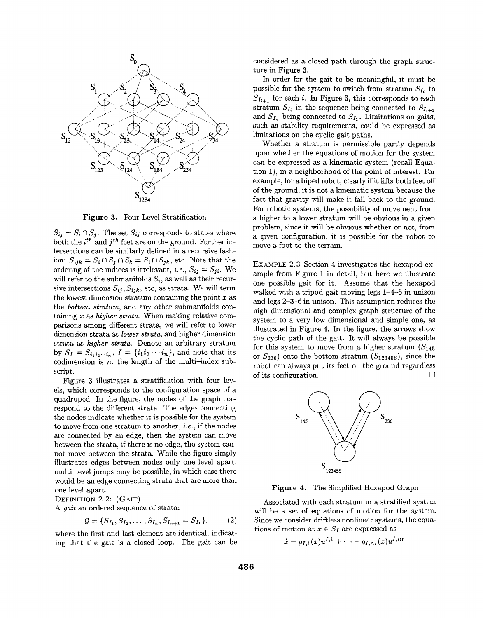<span id="page-2-0"></span>

**Figure 3.** Four Level Stratification

 $S_{ij} = S_i \cap S_j$ . The set  $S_{ij}$  corresponds to states where both the  $i^{th}$  and  $j^{th}$  feet are on the ground. Further intersections can be similarly defined in a recursive fashion:  $S_{ijk} = S_i \cap S_j \cap S_k = S_i \cap S_{jk}$ , etc. Note that the ordering of the indices is irrelevant, *i.e.*,  $S_{ij} = S_{ji}$ . We will refer to the submanifolds  $S_i$ , as well as their recursive intersections  $S_{ij}$ ,  $S_{ijk}$ , etc, as strata. We will term the lowest dimension stratum containing the point *x* as the *bottom stratum,* and any other submanifolds containing *x* as *higher strata.* When making relative comparisons among different strata, we wilI refer to Iower dimension strata as *lower strata,* and higher dimension strata as *higher strata.* Denote an arbitrary stratum by  $S_I = S_{i_1 i_2 \cdots i_n}$ ,  $I = \{i_1 i_2 \cdots i_n\}$ , and note that its codimension is  $n$ , the length of the multi-index subscript.

Figure 3 illustrates a stratification with four levels, which corresponds to the configuration space of a quadruped. In the figure, the nodes of the graph correspond to the different strata. The edges connecting the nodes indicate whether it is possible for the system to move from one stratum to another, *i.e.,* if the nodes are connected by an edge, then the system can move between the strata, if there is no edge, the system cannot move between the strata. While the figure simply illustrates edges between nodes only one level apart, multi-level jumps may be possible, in which case there would be an edge connecting strata that are more than one level apart.

DEFINITION **2.2: (GAIT)** 

A *gait* an ordered sequence of strata:

$$
\mathcal{G} = \{S_{I_1}, S_{I_2}, \dots, S_{I_n}, S_{I_{n+1}} = S_{I_1}\}.
$$
 (2)

where the first and last element are identical, indicating that the gait is a closed loop. The gait can be considered **as** a closed path through the graph structure in Figure **3.** 

In order for the gait to be meaningful, it must be possible for the system to switch from stratum  $S_{I_i}$  to  $S_{I_{i+1}}$  for each i. In Figure 3, this corresponds to each stratum  $S_{I_i}$  in the sequence being connected to  $S_{I_{i+1}}$ and  $S_{I_n}$  being connected to  $S_{I_1}$ . Limitations on gaits, such **as** stability requirements, could be expressed as limitations on the cyclic gait paths.

Whether a stratum is permissible partly depends upon whether the equations of motion for the system can be expressed **as** a kinematic system (recall Equation **l),** in a neighborhood of the point of interest. For example, for a biped robot, clearly if it lifts both feet off of the ground, it is not a kinematic system because the fact that gravity will make it fall back to the ground. For robotic systems, the possibility of movement from a higher to a lower stratum will be obvious in a given problem, since it will be obvious whether or not, from a given configuration, it is possible for the robot to move a foot to the terrain.

EXAMPLE **2.3** Section **4** investigates the hexapod example from [Figure](#page-4-0) **1** in detail, but here we illustrate one possible gait for it. Assume that the hexapod walked with a tripod gait moving legs **1-4-5** in unison and legs 2-3-6 in unison. This assumption reduces the high dimensional and complex graph structure of the system to a very low dimensional and simple one, as illustrated in Figure **4.** In the figure, the arrows show the cyclic path of the gait. It will always be possible for this system to move from a higher stratum  $(S_{145}$ or  $S_{236}$ ) onto the bottom stratum  $(S_{123456})$ , since the robot can always put its feet on the ground regardless of its configuration. *0* 



**Figure 4.** The Simplified Hexapod Graph

Associated with each stratum in a stratified system will be a **set of** equations of motion for the system. Since we consider driftless nonlinear systems, the equations of motion at  $x \in S_I$  are expressed as

$$
\dot{x} = g_{I,1}(x)u^{I,1} + \cdots + g_{I,n}{}_{I}(x)u^{I,n}{}_{I}.
$$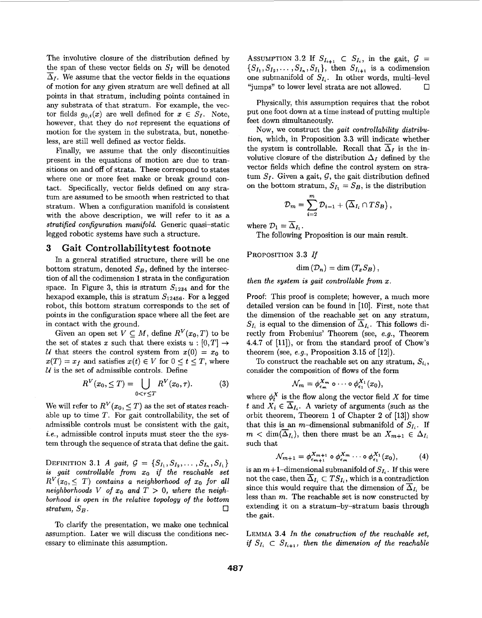The involutive closure of the distribution defined by The involutive closure of the distribution defined by<br>the span of these vector fields on *S<sub>I</sub>* will be denoted<br> $\overline{\Lambda}$ . We assume that the vector fields in the equations  $\overline{\Delta}_I$ . We assume that the vector fields in the equations of motion for any given stratum are well defined at all points in that stratum, including points contained in any substrata of that stratum. For example, the vector fields  $g_{0,i}(x)$  are well defined for  $x \in S_I$ . Note, however, that they do *not* represent the equations of motion for the system in the substrata, but, nonetheless, are still well defined as vector fields.

Finally, we assume that the only discontinuities present in the equations of motion are due to transitions on and off of strata. These correspond to states where one or more feet make or break ground contact. Specifically, vector fields defined on any stratum are assumed to be smooth when restricted to that stratum. When a configuration manifold is consistent with the above description, we will refer to it as a *stratified configuration manifold.* Generic quasi-static legged robotic systems have such a structure.

## **3 Gait Controllabilitytest footnote**

In a general stratified structure, there will be one bottom stratum, denoted  $S_B$ , defined by the intersection of all the codimension 1 strata in the configuration space. In Figure 3, this is stratum  $S_{1234}$  and for the hexapod example, this is stratum  $S_{12456}$ . For a legged robot, this bottom stratum corresponds to the set of points in the configuration space where all the feet are in contact with the ground.

Given an open set  $V \subseteq M$ , define  $R^V(x_0, T)$  to be the set of states *x* such that there exists  $u : [0, T] \rightarrow$ *U* that steers the control system from  $x(0) = x_0$  to  $x(T) = x_f$  and satisfies  $x(t) \in V$  for  $0 \le t \le T$ , where  $U$  is the set of admissible controls. Define

$$
R^{V}(x_0, \leq T) = \bigcup_{0 < \tau \leq T} R^{V}(x_0, \tau). \tag{3}
$$

We will refer to  $R^V(x_0, \leq T)$  as the set of states reachable up to time *T.* For gait controllability, the set of admissible controls must be consistent with the gait, *i.e.,* admissible control inputs must steer the the system through the sequence of strata that define the gait.

DEFINITION 3.1 *A gait,*  $G = \{S_{I_1}, S_{I_2}, \ldots, S_{I_n}, S_{I_1}\}$ *is gait controllable from xo if the reachable set*   $R^{V}(x_0, \leq T)$  contains a neighborhood of  $x_0$  for all  $neighborhoods \ V \ of \ x_0 \ and \ T > 0, \ where \ the \ neigh$ *borhood is open in the relative topology of the bottom stratum,*  $S_B$ *.*  $\Box$ 

To clarify the presentation, we make one technical assumption. Later we will discuss the conditions necessary to eliminate this assumption.

ASSUMPTION 3.2 If  $S_{I_{i+1}} \subset S_{I_i}$ , in the gait,  $\mathcal{G} =$  $\{S_{I_1}, S_{I_2}, \ldots, S_{I_n}, S_{I_1}\},\$  then  $S_{I_{i+1}}$  is a codimension one submanifold of  $S_{I_i}$ . In other words, multi-level "jumps" to lower level strata are not allowed. *0* 

Physically, this assumption requires that the robot put one foot down at a time instead of putting multiple feet down simultaneously.

Now, we construct the *gait controllability distribution,* which, in Proposition 3.3 will indicate whether the system is controllable. Recall that  $\overline{\Delta}_I$  is the involutive closure of the distribution  $\Delta_I$  defined by the vector fields which define the control system on stratum  $S_I$ . Given a gait,  $G$ , the gait distribution defined on the bottom stratum,  $S_{I_1} = S_B$ , is the distribution

$$
\mathcal{D}_m = \sum_{i=2}^m \mathcal{D}_{i-1} + (\overline{\Delta}_{I_i} \cap TS_B),
$$

where  $\mathcal{D}_1 = \overline{\Delta}_{I_1}$ .

The following Proposition is our main result.

**PROPOSITION** 3.3 *If* 

$$
\dim\left( {\cal D}_{n} \right)=\dim\left( T_{x}S_{B} \right),
$$

*then the system is gait controllable from x.* 

Proof: This proof is complete; however, a much more detailed version can be found in [10]. First, note that the dimension of the reachable set on any stratum,  $S_{I_i}$  is equal to the dimension of  $\overline{\Delta}_{I_i}$ . This follows directly from Frobenius' Theorem (see, *e.g.,* Theorem **4.4.7** of [ll]), or from the standard proof of Chow's theorem (see, **e.g.,** Proposition 3.15 of [12]).

To construct the reachable set on any stratum,  $S_i$ , consider the composition of flows of the form

$$
\mathcal{N}_m = \phi_{\epsilon_m}^{X_m} \circ \cdots \circ \phi_{\epsilon_1}^{X_1}(x_0),
$$

where  $\phi_t^X$  is the flow along the vector field X for time *t* and  $X_i \in \overline{\Delta}_{I_i}$ . A variety of arguments (such as the orbit theorem, Theorem **1** of Chapter 2 of [13]) show that this is an m-dimensional submanifold of  $S_{I_i}$ . If  $m < \dim(\overline{\Delta}_{I_i})$ , then there must be an  $X_{m+1} \in \Delta_{I_i}$ such that

$$
\mathcal{N}_{m+1} = \phi_{\epsilon_{m+1}}^{X_{m+1}} \circ \phi_{\epsilon_m}^{X_m} \cdots \circ \phi_{\epsilon_1}^{X_1}(x_0), \qquad (4)
$$

is an  $m+1$ -dimensional submanifold of  $S<sub>I<sub>i</sub></sub>$ . If this were not the case, then  $\overline{\Delta}_{I_i} \subset TS_{I_i}$ , which is a contradiction since this would require that the dimension of  $\overline{\Delta}_{I_i}$  be less than  $m$ . The reachable set is now constructed by extending it on a stratum-by-stratum basis through the **gait.** 

**LEMMA** 3.4 *In the construction of the reachable set, if*  $S_{I_i} \subset S_{I_{i+1}}$ *, then the dimension of the reachable*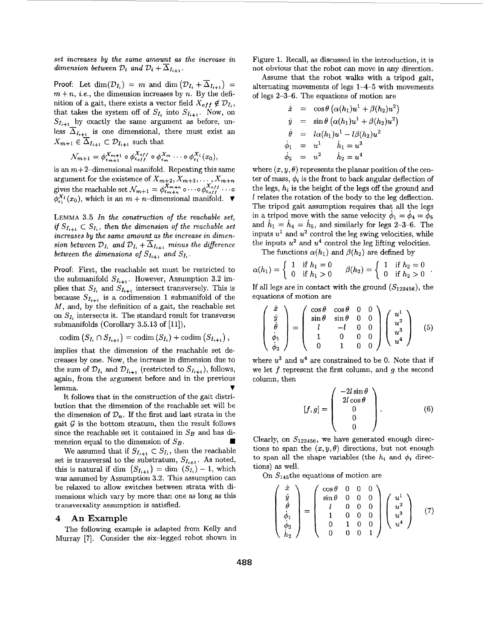<span id="page-4-0"></span>*set increases* **by** *the same amount as the increase in dimension between*  $\mathcal{D}_i$  *and*  $\mathcal{D}_i$  +  $\overline{\Delta}_{I_{i+1}}$ .

Proof: Let dim $(\mathcal{D}_{I_i}) = m$  and dim  $(\mathcal{D}_{I_i} + \overline{\Delta}_{I_{i+1}}) =$  $m + n$ , *i.e.*, the dimension increases by *n*. By the definition of a gait, there exists a vector field  $X_{off} \notin \mathcal{D}_{I_i}$ , that takes the system off of  $S_{I_i}$  into  $S_{I_{i+1}}$ . Now, on  $S_{I_{i+1}}$  by exactly the same argument as before, unless  $\overline{\Delta}_{I_{i+1}}$  is one dimensional, there must exist an  $X_{m+1} \in \overline{\Delta}_{I_{i+1}} \subset \mathcal{D}_{I_{i+1}}$  such that

$$
\mathcal{N}_{m+1} = \phi_{\epsilon_{m+1}}^{X_{m+1}} \circ \phi_{\epsilon_{off}}^{X_{off}} \circ \phi_{\epsilon_m}^{X_m} \cdots \circ \phi_{\epsilon_1}^{X_1}(x_0),
$$

is an  $m+2$ -dimensional manifold. Repeating this same argument for the existence of  $X_{m+2}, \overline{X_{m+3}, \ldots, X_{m+n}}$ gives the reachable set  $\mathcal{N}_{m+1} = \phi_{\epsilon_{m+n}}^{X_{m+n}} \circ \cdots \circ \phi_{\epsilon_{off}}^{X_{off}} \cdots \circ$  $\phi_{\epsilon_1}^{X_1}(x_0)$ , which is an  $m + n$ -dimensional manifold.  $\blacktriangledown$ 

LEMMA 3.5 *In the construction of the reachable set, if*  $S_{I_{i+1}} \subset S_I$ , *then the dimension of the reachable set* increases by the same amount as the increase in dimen*sion between*  $\mathcal{D}_{I_i}$  *and*  $\mathcal{D}_{I_i}$  +  $\overline{\Delta}_{I_{i+1}}$  *minus the difference between the dimensions of*  $S_{I_{i+1}}$  *and*  $S_I$ .

Proof: First, the reachable set must be restricted to the submanifold  $S_{I_{i+1}}$ . However, Assumption 3.2 implies that  $S_{I_i}$  and  $S_{I_{i+1}}$  intersect transversely. This is because  $S_{I_{i+1}}$  is a codimension 1 submanifold of the *M,* and, by the definition of a gait, the reachable set on  $S_L$  intersects it. The standard result for transverse submanifolds (Corollary 3.5.13 of  $[11]$ ),

$$
\mathrm{codim}\left(S_{I_i}\cap S_{I_{i+1}}\right)=\mathrm{codim}\left(S_{I_i}\right)+\mathrm{codim}\left(S_{I_{i+1}}\right),
$$

implies that the dimension of the reachable set decreases by one. Now, the increase in dimension due to the sum of  $\mathcal{D}_{I_i}$  and  $\mathcal{D}_{I_{i+1}}$  (restricted to  $S_{I_{i+1}}$ ), follows, again, from the argument before and in the previous lemma.  $\blacksquare$ 

It follows that in the construction of the gait distribution that the dimension of the reachable set will be the dimension of  $\mathcal{D}_n$ . If the first and last strata in the gait  $G$  is the bottom stratum, then the result follows since the reachable set it contained in  $S_B$  and has dimension equal to the dimension of  $S_B$ .

We assumed that if  $S_{I_{i+1}} \subset S_{I_i}$ , then the reachable set is transversal to the substratum,  $S_{I_{i+1}}$ . As noted, this is natural if dim  $(S_{I_{i+1}}) = \dim (S_{I_i}) - 1$ , which was assumed by Assumption **3.2.** This assumption can be relaxed to allow switches between strata with dimensions which vary by more than one as long **as** this transversality assumption is satisfied.

#### **4 AnExample**

The following example is adapted from Kelly and Murray **[7].** Consider the six-legged robot shown in

Figure **1.** Recall, as discussed in the introduction, it is not obvious that the robot can move in any direction.

Assume that the robot walks with a tripod gait, alternating movements of legs 1-4-5 with movements of legs 2-3-6. The equations of motion are

$$
\dot{x} = \cos \theta \left( \alpha(h_1)u^1 + \beta(h_2)u^2 \right)
$$
  
\n
$$
\dot{y} = \sin \theta \left( \alpha(h_1)u^1 + \beta(h_2)u^2 \right)
$$
  
\n
$$
\dot{\theta} = l\alpha(h_1)u^1 - l\beta(h_2)u^2
$$
  
\n
$$
\dot{\phi}_1 = u^1 \qquad \dot{h}_1 = u^3
$$
  
\n
$$
\dot{\phi}_2 = u^2 \qquad \dot{h}_2 = u^4
$$

where  $(x, y, \theta)$  represents the planar position of the center of mass,  $\phi_i$  is the front to back angular deflection of the legs,  $h_i$  is the height of the legs off the ground and 1 relates the rotation of the body to the leg deflection. The tripod gait assumption requires that all the legs in a tripod move with the same velocity  $\dot{\phi}_1 = \dot{\phi}_4 = \dot{\phi}_5$ and  $\dot{h}_1 = \dot{h}_4 = \dot{h}_5$ , and similarly for legs 2-3-6. The inputs  $u^1$  and  $u^2$  control the leg swing velocities, while the inputs  $u^3$  and  $u^4$  control the leg lifting velocities.

The functions  $\alpha(h_1)$  and  $\beta(h_2)$  are defined by

$$
\alpha(h_1) = \begin{cases} 1 & \text{if } h_1 = 0 \\ 0 & \text{if } h_1 > 0 \end{cases} \qquad \beta(h_2) = \begin{cases} 1 & \text{if } h_2 = 0 \\ 0 & \text{if } h_2 > 0 \end{cases}
$$

If all legs are in contact with the ground  $(S_{123456})$ , the equations of motion are

$$
\begin{pmatrix}\n\dot{x} \\
\dot{y} \\
\dot{\theta} \\
\dot{\phi}_1 \\
\dot{\phi}_2\n\end{pmatrix} = \begin{pmatrix}\n\cos\theta & \cos\theta & 0 & 0 \\
\sin\theta & \sin\theta & 0 & 0 \\
l & -l & 0 & 0 \\
1 & 0 & 0 & 0 \\
0 & 1 & 0 & 0\n\end{pmatrix} \begin{pmatrix}\nu^1 \\
u^2 \\
u^3 \\
u^4\n\end{pmatrix}
$$
\n(5)

where  $u^3$  and  $u^4$  are constrained to be 0. Note that if we let  $f$  represent the first column, and  $g$  the second column, then

$$
[f,g] = \begin{pmatrix} -2l\sin\theta \\ 2l\cos\theta \\ 0 \\ 0 \\ 0 \end{pmatrix}.
$$
 (6)

Clearly, on  $S_{123456}$ , we have generated enough directions to span the  $(x, y, \theta)$  directions, but not enough to span all the shape variables (the  $h_i$  and  $\phi_i$  directions) **as** well.

On  $S_{145}$ the equations of motion are

$$
\begin{pmatrix}\n\dot{x} \\
\dot{y} \\
\dot{\theta} \\
\dot{\phi}_1 \\
\dot{\phi}_2 \\
\dot{h}_2\n\end{pmatrix} = \begin{pmatrix}\n\cos\theta & 0 & 0 & 0 \\
\sin\theta & 0 & 0 & 0 \\
l & 0 & 0 & 0 \\
1 & 0 & 0 & 0 \\
0 & 1 & 0 & 0 \\
0 & 0 & 0 & 1\n\end{pmatrix} \begin{pmatrix}\nu^1 \\
u^2 \\
u^3 \\
u^4\n\end{pmatrix}
$$
\n(7)